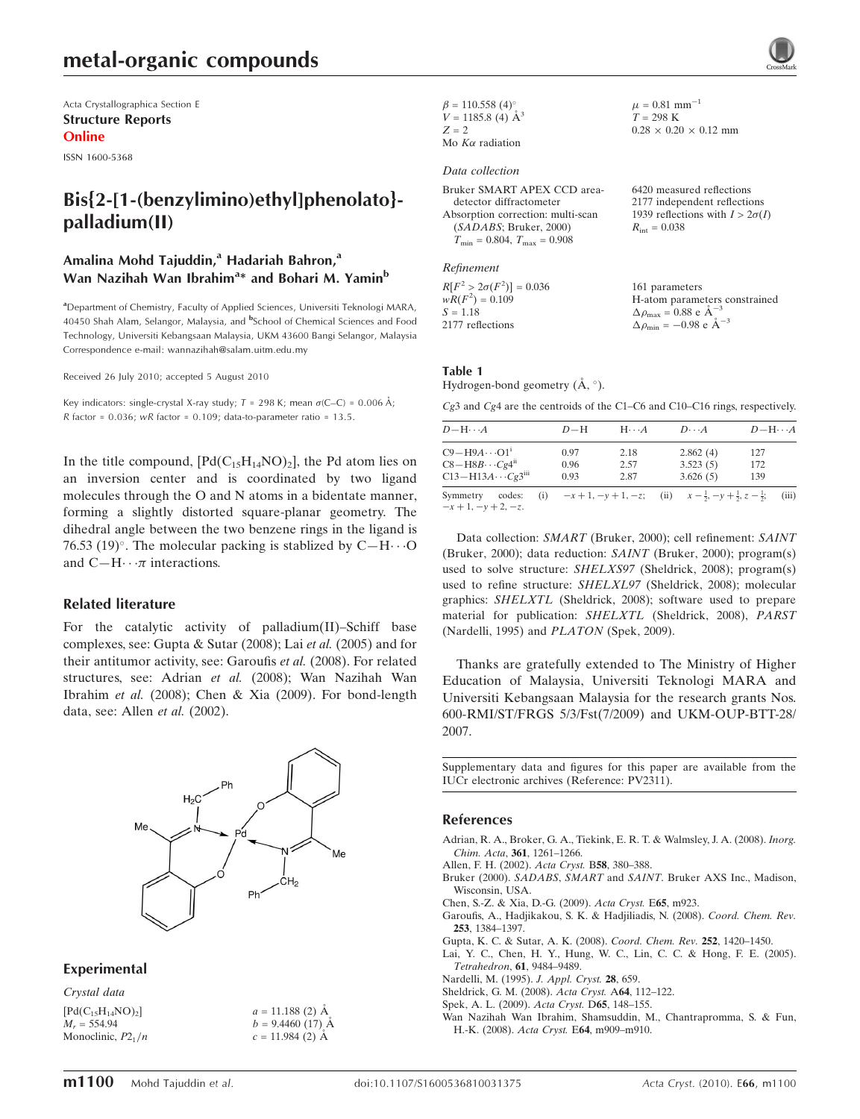# metal-organic compounds

Acta Crystallographica Section E Structure Reports Online

ISSN 1600-5368

## Bis{2-[1-(benzylimino)ethyl]phenolato} palladium(II)

### Amalina Mohd Tajuddin,<sup>a</sup> Hadariah Bahron,<sup>a</sup> Wan Nazihah Wan Ibrahim<sup>a</sup>\* and Bohari M. Yamin<sup>b</sup>

<sup>a</sup>Department of Chemistry, Faculty of Applied Sciences, Universiti Teknologi MARA, 40450 Shah Alam, Selangor, Malaysia, and <sup>b</sup>School of Chemical Sciences and Food Technology, Universiti Kebangsaan Malaysia, UKM 43600 Bangi Selangor, Malaysia Correspondence e-mail: wannazihah@salam.uitm.edu.my

Received 26 July 2010; accepted 5 August 2010

Key indicators: single-crystal X-ray study;  $T = 298$  K; mean  $\sigma$ (C–C) = 0.006 Å; R factor =  $0.036$ ; wR factor =  $0.109$ ; data-to-parameter ratio =  $13.5$ .

In the title compound,  $[Pd(C_{15}H_{14}NO)_2]$ , the Pd atom lies on an inversion center and is coordinated by two ligand molecules through the O and N atoms in a bidentate manner, forming a slightly distorted square-planar geometry. The dihedral angle between the two benzene rings in the ligand is 76.53 (19)°. The molecular packing is stablized by  $C-H\cdots O$ and  $C-H \cdots \pi$  interactions.

#### Related literature

For the catalytic activity of palladium(II)–Schiff base complexes, see: Gupta & Sutar (2008); Lai et al. (2005) and for their antitumor activity, see: Garoufis et al. (2008). For related structures, see: Adrian et al. (2008); Wan Nazihah Wan Ibrahim et al. (2008); Chen & Xia (2009). For bond-length data, see: Allen et al. (2002).



#### Experimental

Crystal data  $[Pd(C_{15}H_{14}NO)_2]$  $M_r = 554.94$ Monoclinic,  $P2_1/n$ 

 $a = 11.188$  (2) Å  $b = 9.4460(17)$  Å  $c = 11.984$  (2)  $\AA$ 

 $\beta = 110.558$  (4)<sup>o</sup>  $V = 1185.8$  (4)  $\AA^3$  $Z = 2$ Mo  $K\alpha$  radiation

### Data collection

Bruker SMART APEX CCD areadetector diffractometer Absorption correction: multi-scan (SADABS; Bruker, 2000)  $T_{\text{min}} = 0.804, T_{\text{max}} = 0.908$ 

Refinement

 $R[F^2 > 2\sigma(F^2)] = 0.036$  $wR(F^2) = 0.109$  $S = 1.18$ 2177 reflections 161 parameters H-atom parameters constrained  $\Delta \rho_{\text{max}} = 0.88 \text{ e A}^{-3}$  $\Delta \rho_{\rm min} = -0.98 \text{ e A}^{-3}$ 

 $\mu = 0.81$  mm<sup>-1</sup>  $T = 298 \text{ K}$ 

 $R_{\text{int}} = 0.038$ 

 $0.28 \times 0.20 \times 0.12$  mm

6420 measured reflections 2177 independent reflections 1939 reflections with  $I > 2\sigma(I)$ 

#### Table 1 Hydrogen-bond geometry  $(\AA, \degree)$ .

Cg3 and Cg4 are the centroids of the C1–C6 and C10–C16 rings, respectively.

| $D - H \cdots A$                                                                                        | $D-H$                | $H\cdots A$          | $D\cdots A$                                                                  | $D - H \cdots A$  |
|---------------------------------------------------------------------------------------------------------|----------------------|----------------------|------------------------------------------------------------------------------|-------------------|
| $C9 - H9A \cdots O1^i$<br>$C8 - H8B \cdots Cg4$ <sup>ii</sup><br>$C13 - H13A \cdots Cg3$ <sup>iii</sup> | 0.97<br>0.96<br>0.93 | 2.18<br>2.57<br>2.87 | 2.862(4)<br>3.523(5)<br>3.626(5)                                             | 127<br>172<br>139 |
| Symmetry<br>codes:<br>$-x+1, -y+2, -z.$                                                                 |                      |                      | (i) $-x+1, -y+1, -z$ ; (ii) $x-\frac{1}{2}, -y+\frac{1}{2}, z-\frac{1}{2}$ ; | (iii)             |

Data collection: SMART (Bruker, 2000); cell refinement: SAINT (Bruker, 2000); data reduction: SAINT (Bruker, 2000); program(s) used to solve structure: SHELXS97 (Sheldrick, 2008); program(s) used to refine structure: SHELXL97 (Sheldrick, 2008); molecular graphics: SHELXTL (Sheldrick, 2008); software used to prepare material for publication: SHELXTL (Sheldrick, 2008), PARST (Nardelli, 1995) and PLATON (Spek, 2009).

Thanks are gratefully extended to The Ministry of Higher Education of Malaysia, Universiti Teknologi MARA and Universiti Kebangsaan Malaysia for the research grants Nos. 600-RMI/ST/FRGS 5/3/Fst(7/2009) and UKM-OUP-BTT-28/ 2007.

Supplementary data and figures for this paper are available from the IUCr electronic archives (Reference: PV2311).

#### References

[Adrian, R. A., Broker, G. A., Tiekink, E. R. T. & Walmsley, J. A. \(2008\).](https://scripts.iucr.org/cgi-bin/cr.cgi?rm=pdfbb&cnor=pv2311&bbid=BB1) Inorg. Chim. Acta, 361[, 1261–1266.](https://scripts.iucr.org/cgi-bin/cr.cgi?rm=pdfbb&cnor=pv2311&bbid=BB1)

[Allen, F. H. \(2002\).](https://scripts.iucr.org/cgi-bin/cr.cgi?rm=pdfbb&cnor=pv2311&bbid=BB2) Acta Cryst. B58, 380–388.

- Bruker (2000). SADABS, SMART and SAINT[. Bruker AXS Inc., Madison,](https://scripts.iucr.org/cgi-bin/cr.cgi?rm=pdfbb&cnor=pv2311&bbid=BB3) [Wisconsin, USA.](https://scripts.iucr.org/cgi-bin/cr.cgi?rm=pdfbb&cnor=pv2311&bbid=BB3)
- [Chen, S.-Z. & Xia, D.-G. \(2009\).](https://scripts.iucr.org/cgi-bin/cr.cgi?rm=pdfbb&cnor=pv2311&bbid=BB4) Acta Cryst. E65, m923.
- [Garoufis, A., Hadjikakou, S. K. & Hadjiliadis, N. \(2008\).](https://scripts.iucr.org/cgi-bin/cr.cgi?rm=pdfbb&cnor=pv2311&bbid=BB5) Coord. Chem. Rev. 253[, 1384–1397.](https://scripts.iucr.org/cgi-bin/cr.cgi?rm=pdfbb&cnor=pv2311&bbid=BB5)
- [Gupta, K. C. & Sutar, A. K. \(2008\).](https://scripts.iucr.org/cgi-bin/cr.cgi?rm=pdfbb&cnor=pv2311&bbid=BB6) Coord. Chem. Rev. 252, 1420–1450.
- [Lai, Y. C., Chen, H. Y., Hung, W. C., Lin, C. C. & Hong, F. E. \(2005\).](https://scripts.iucr.org/cgi-bin/cr.cgi?rm=pdfbb&cnor=pv2311&bbid=BB7) [Tetrahedron](https://scripts.iucr.org/cgi-bin/cr.cgi?rm=pdfbb&cnor=pv2311&bbid=BB7), 61, 9484–9489.
- [Nardelli, M. \(1995\).](https://scripts.iucr.org/cgi-bin/cr.cgi?rm=pdfbb&cnor=pv2311&bbid=BB8) J. Appl. Cryst. 28, 659.
- [Sheldrick, G. M. \(2008\).](https://scripts.iucr.org/cgi-bin/cr.cgi?rm=pdfbb&cnor=pv2311&bbid=BB9) Acta Cryst. A64, 112–122.
- [Spek, A. L. \(2009\).](https://scripts.iucr.org/cgi-bin/cr.cgi?rm=pdfbb&cnor=pv2311&bbid=BB10) Acta Cryst. D65, 148–155.
- [Wan Nazihah Wan Ibrahim, Shamsuddin, M., Chantrapromma, S. & Fun,](https://scripts.iucr.org/cgi-bin/cr.cgi?rm=pdfbb&cnor=pv2311&bbid=BB11) H.-K. (2008). Acta Cryst. E64[, m909–m910.](https://scripts.iucr.org/cgi-bin/cr.cgi?rm=pdfbb&cnor=pv2311&bbid=BB11)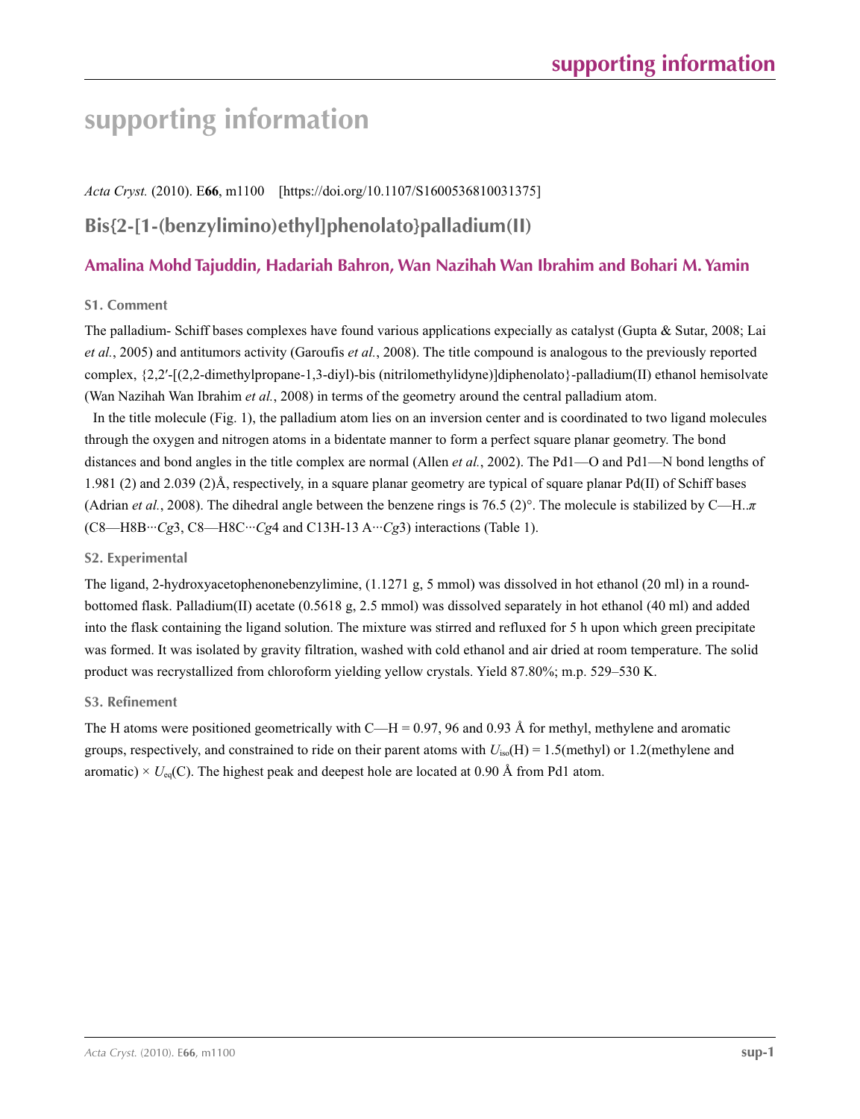# **supporting information**

*Acta Cryst.* (2010). E**66**, m1100 [https://doi.org/10.1107/S1600536810031375]

# **Bis{2-[1-(benzylimino)ethyl]phenolato}palladium(II)**

### **Amalina Mohd Tajuddin, Hadariah Bahron, Wan Nazihah Wan Ibrahim and Bohari M. Yamin**

### **S1. Comment**

The palladium- Schiff bases complexes have found various applications expecially as catalyst (Gupta & Sutar, 2008; Lai *et al.*, 2005) and antitumors activity (Garoufis *et al.*, 2008). The title compound is analogous to the previously reported complex, {2,2′-[(2,2-dimethylpropane-1,3-diyl)-bis (nitrilomethylidyne)]diphenolato}-palladium(II) ethanol hemisolvate (Wan Nazihah Wan Ibrahim *et al.*, 2008) in terms of the geometry around the central palladium atom.

In the title molecule (Fig. 1), the palladium atom lies on an inversion center and is coordinated to two ligand molecules through the oxygen and nitrogen atoms in a bidentate manner to form a perfect square planar geometry. The bond distances and bond angles in the title complex are normal (Allen *et al.*, 2002). The Pd1—O and Pd1—N bond lengths of 1.981 (2) and 2.039 (2)Å, respectively, in a square planar geometry are typical of square planar Pd(II) of Schiff bases (Adrian *et al.*, 2008). The dihedral angle between the benzene rings is 76.5 (2)°. The molecule is stabilized by C—H..*π* (C8—H8B···*Cg*3, C8—H8C···*Cg*4 and C13H-13 A···*Cg*3) interactions (Table 1).

### **S2. Experimental**

The ligand, 2-hydroxyacetophenonebenzylimine, (1.1271 g, 5 mmol) was dissolved in hot ethanol (20 ml) in a roundbottomed flask. Palladium(II) acetate (0.5618 g, 2.5 mmol) was dissolved separately in hot ethanol (40 ml) and added into the flask containing the ligand solution. The mixture was stirred and refluxed for 5 h upon which green precipitate was formed. It was isolated by gravity filtration, washed with cold ethanol and air dried at room temperature. The solid product was recrystallized from chloroform yielding yellow crystals. Yield 87.80%; m.p. 529–530 K.

### **S3. Refinement**

The H atoms were positioned geometrically with C—H = 0.97, 96 and 0.93 Å for methyl, methylene and aromatic groups, respectively, and constrained to ride on their parent atoms with *U*iso(H) = 1.5(methyl) or 1.2(methylene and aromatic)  $\times U_{eq}(C)$ . The highest peak and deepest hole are located at 0.90 Å from Pd1 atom.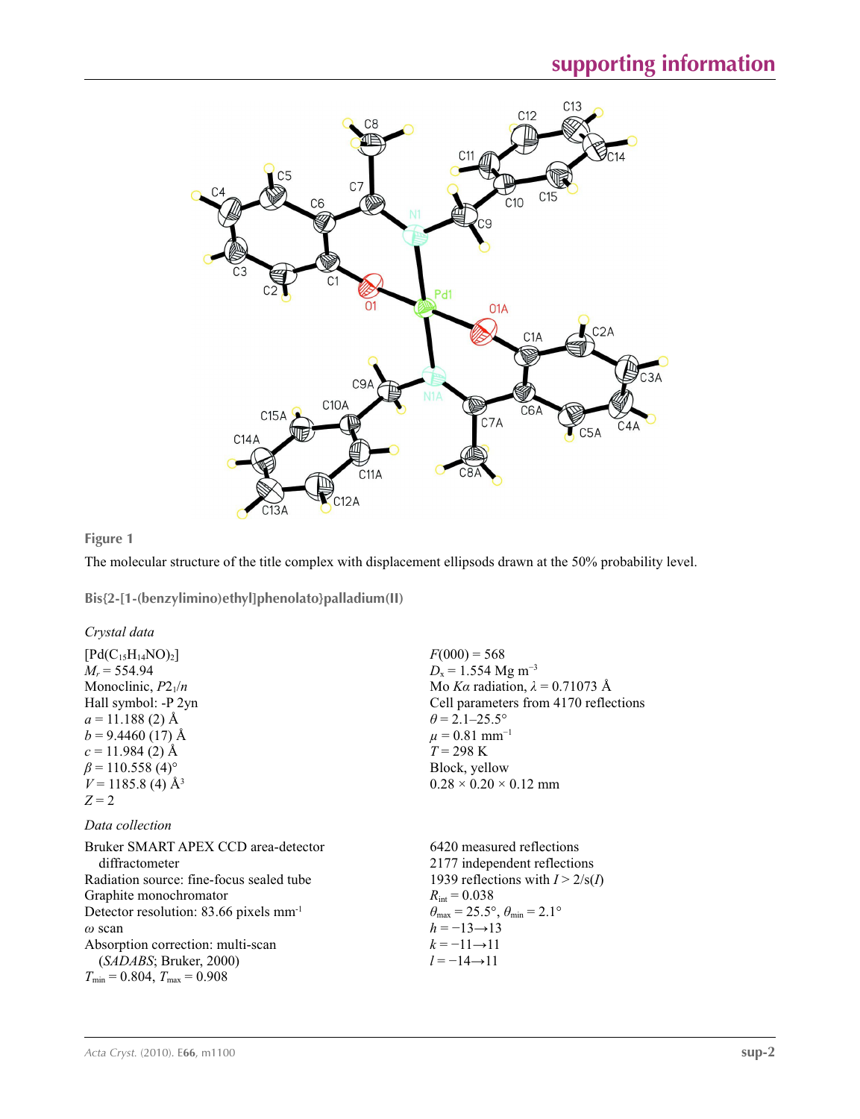

### **Figure 1**

The molecular structure of the title complex with displacement ellipsods drawn at the 50% probability level.

**Bis{2-[1-(benzylimino)ethyl]phenolato}palladium(II)** 

*Crystal data*

 $[Pd(C_{15}H_{14}NO)_2]$  $M_r = 554.94$ Monoclinic,  $P2_1/n$ Hall symbol: -P 2yn  $a = 11.188(2)$  Å  $b = 9.4460(17)$  Å  $c = 11.984$  (2) Å  $\beta$  = 110.558 (4)<sup>o</sup>  $V = 1185.8$  (4) Å<sup>3</sup> *Z* = 2  $F(000) = 568$  $D_x = 1.554$  Mg m<sup>-3</sup> Mo *Kα* radiation,  $\lambda = 0.71073$  Å Cell parameters from 4170 reflections  $\theta$  = 2.1–25.5°  $\mu$  = 0.81 mm<sup>-1</sup> *T* = 298 K Block, yellow  $0.28 \times 0.20 \times 0.12$  mm *Data collection* Bruker SMART APEX CCD area-detector diffractometer Radiation source: fine-focus sealed tube Graphite monochromator Detector resolution: 83.66 pixels mm-1 *ω* scan Absorption correction: multi-scan (*SADABS*; Bruker, 2000)  $T_{\text{min}} = 0.804, T_{\text{max}} = 0.908$ 6420 measured reflections 2177 independent reflections 1939 reflections with  $I > 2/s(I)$  $R_{\text{int}} = 0.038$  $\theta_{\text{max}} = 25.5^{\circ}, \theta_{\text{min}} = 2.1^{\circ}$  $h = -13 \rightarrow 13$  $k = -11 \rightarrow 11$ *l* = −14→11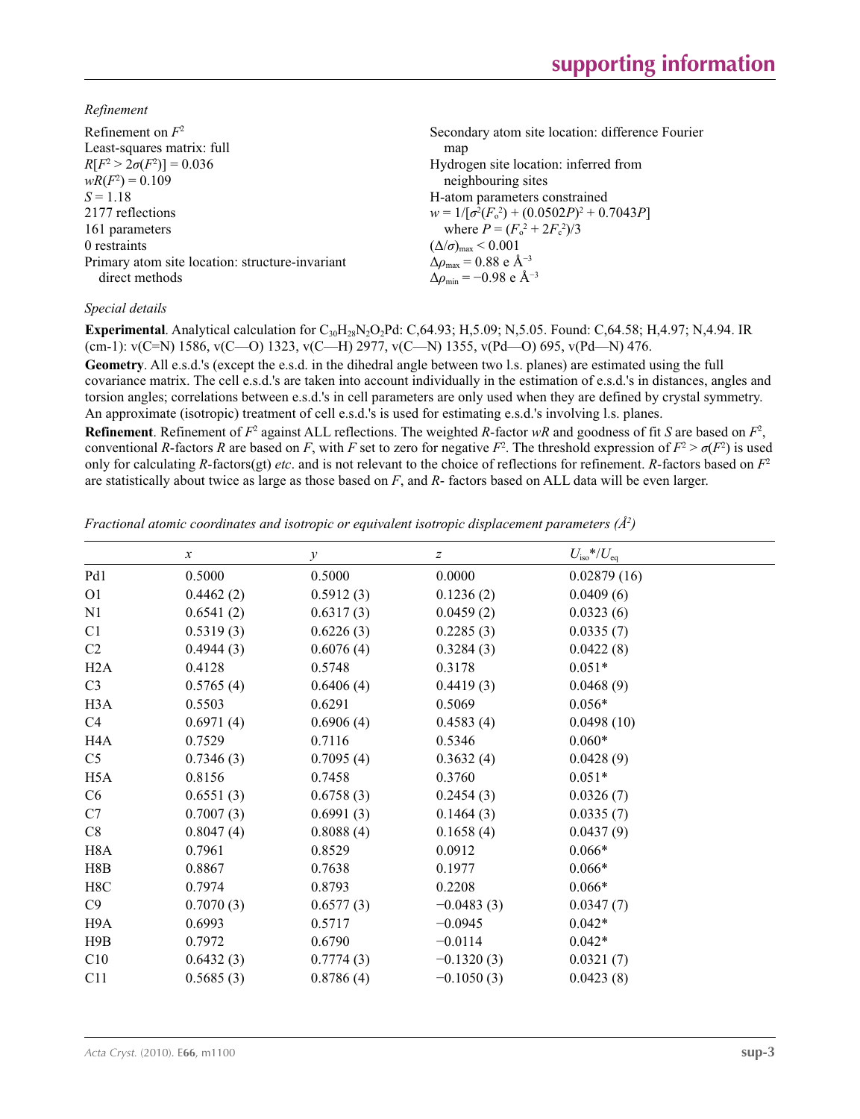*Refinement*

| Refinement on $F^2$<br>Least-squares matrix: full<br>$R[F^2 > 2\sigma(F^2)] = 0.036$ | Secondary atom site location: difference Fourier<br>map<br>Hydrogen site location: inferred from       |
|--------------------------------------------------------------------------------------|--------------------------------------------------------------------------------------------------------|
| $wR(F^2) = 0.109$                                                                    | neighbouring sites                                                                                     |
| $S = 1.18$                                                                           | H-atom parameters constrained                                                                          |
| 2177 reflections                                                                     | $w = 1/[\sigma^2(F_0^2) + (0.0502P)^2 + 0.7043P]$<br>where $P = (F_o^2 + 2F_s^2)/3$                    |
| 161 parameters<br>0 restraints                                                       | $(\Delta/\sigma)_{\text{max}}$ < 0.001                                                                 |
| Primary atom site location: structure-invariant<br>direct methods                    | $\Delta\rho_{\text{max}} = 0.88$ e Å <sup>-3</sup><br>$\Delta\rho_{\rm min} = -0.98$ e Å <sup>-3</sup> |

### *Special details*

**Experimental**. Analytical calculation for C30H28N2O2Pd: C,64.93; H,5.09; N,5.05. Found: C,64.58; H,4.97; N,4.94. IR (cm-1):  $v(C=N)$  1586,  $v(C=0)$  1323,  $v(C=H)$  2977,  $v(C=N)$  1355,  $v(Pd=0)$  695,  $v(Pd=N)$  476.

**Geometry**. All e.s.d.'s (except the e.s.d. in the dihedral angle between two l.s. planes) are estimated using the full covariance matrix. The cell e.s.d.'s are taken into account individually in the estimation of e.s.d.'s in distances, angles and torsion angles; correlations between e.s.d.'s in cell parameters are only used when they are defined by crystal symmetry. An approximate (isotropic) treatment of cell e.s.d.'s is used for estimating e.s.d.'s involving l.s. planes.

**Refinement**. Refinement of  $F^2$  against ALL reflections. The weighted *R*-factor  $wR$  and goodness of fit *S* are based on  $F^2$ , conventional *R*-factors *R* are based on *F*, with *F* set to zero for negative *F*<sup>2</sup>. The threshold expression of  $F^2 > \sigma(F^2)$  is used only for calculating *R*-factors(gt) *etc*. and is not relevant to the choice of reflections for refinement. *R*-factors based on *F*<sup>2</sup> are statistically about twice as large as those based on *F*, and *R*- factors based on ALL data will be even larger.

*Fractional atomic coordinates and isotropic or equivalent isotropic displacement parameters (Å<sup>2</sup>)* 

|                  | $\boldsymbol{x}$ | $\mathcal{Y}$ | $\boldsymbol{Z}$ | $U_{\rm iso}$ */ $U_{\rm eq}$ |
|------------------|------------------|---------------|------------------|-------------------------------|
| Pd1              | 0.5000           | 0.5000        | 0.0000           | 0.02879(16)                   |
| O <sub>1</sub>   | 0.4462(2)        | 0.5912(3)     | 0.1236(2)        | 0.0409(6)                     |
| N1               | 0.6541(2)        | 0.6317(3)     | 0.0459(2)        | 0.0323(6)                     |
| C1               | 0.5319(3)        | 0.6226(3)     | 0.2285(3)        | 0.0335(7)                     |
| C <sub>2</sub>   | 0.4944(3)        | 0.6076(4)     | 0.3284(3)        | 0.0422(8)                     |
| H2A              | 0.4128           | 0.5748        | 0.3178           | $0.051*$                      |
| C <sub>3</sub>   | 0.5765(4)        | 0.6406(4)     | 0.4419(3)        | 0.0468(9)                     |
| H <sub>3</sub> A | 0.5503           | 0.6291        | 0.5069           | $0.056*$                      |
| C4               | 0.6971(4)        | 0.6906(4)     | 0.4583(4)        | 0.0498(10)                    |
| H <sub>4</sub> A | 0.7529           | 0.7116        | 0.5346           | $0.060*$                      |
| C <sub>5</sub>   | 0.7346(3)        | 0.7095(4)     | 0.3632(4)        | 0.0428(9)                     |
| H <sub>5</sub> A | 0.8156           | 0.7458        | 0.3760           | $0.051*$                      |
| C6               | 0.6551(3)        | 0.6758(3)     | 0.2454(3)        | 0.0326(7)                     |
| C7               | 0.7007(3)        | 0.6991(3)     | 0.1464(3)        | 0.0335(7)                     |
| C8               | 0.8047(4)        | 0.8088(4)     | 0.1658(4)        | 0.0437(9)                     |
| H <sub>8</sub> A | 0.7961           | 0.8529        | 0.0912           | $0.066*$                      |
| H8B              | 0.8867           | 0.7638        | 0.1977           | $0.066*$                      |
| H8C              | 0.7974           | 0.8793        | 0.2208           | $0.066*$                      |
| C9               | 0.7070(3)        | 0.6577(3)     | $-0.0483(3)$     | 0.0347(7)                     |
| H <sub>9</sub> A | 0.6993           | 0.5717        | $-0.0945$        | $0.042*$                      |
| H9B              | 0.7972           | 0.6790        | $-0.0114$        | $0.042*$                      |
| C10              | 0.6432(3)        | 0.7774(3)     | $-0.1320(3)$     | 0.0321(7)                     |
| C11              | 0.5685(3)        | 0.8786(4)     | $-0.1050(3)$     | 0.0423(8)                     |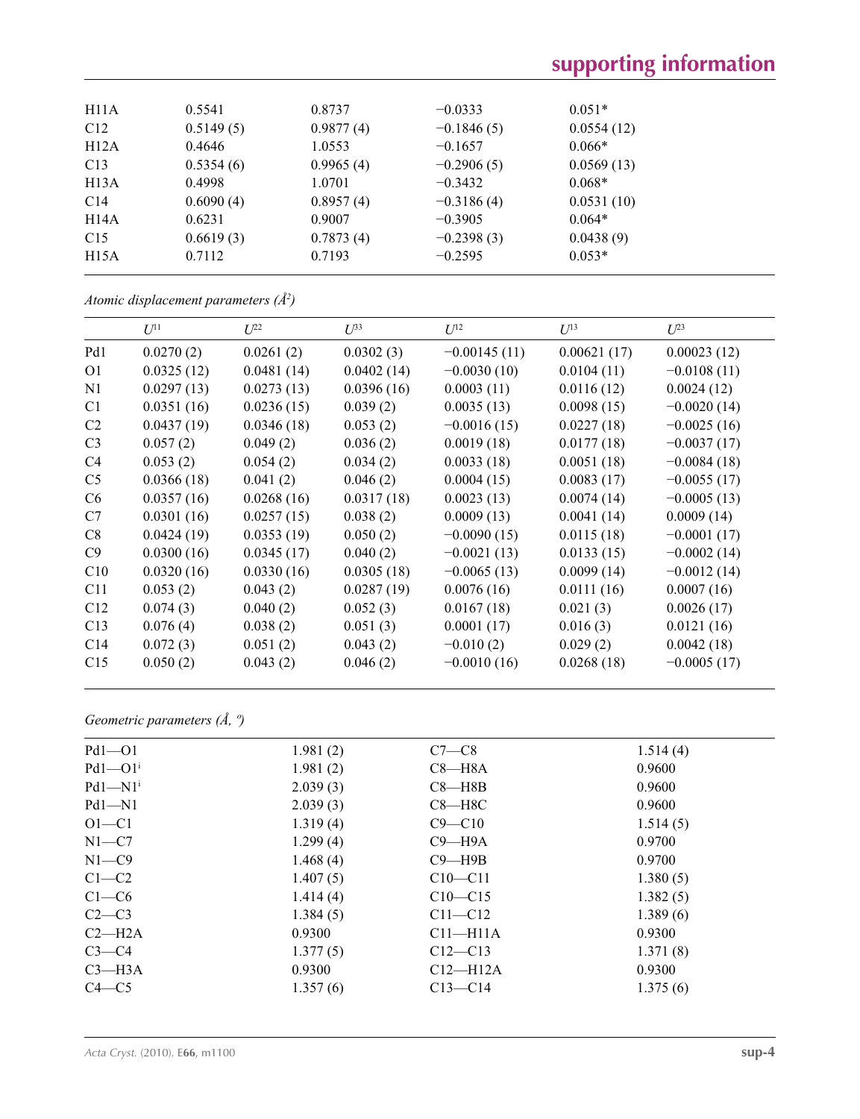| H11A              | 0.5541    | 0.8737    | $-0.0333$    | $0.051*$   |  |
|-------------------|-----------|-----------|--------------|------------|--|
| C12               | 0.5149(5) | 0.9877(4) | $-0.1846(5)$ | 0.0554(12) |  |
| H12A              | 0.4646    | 1.0553    | $-0.1657$    | $0.066*$   |  |
| C13               | 0.5354(6) | 0.9965(4) | $-0.2906(5)$ | 0.0569(13) |  |
| H <sub>13</sub> A | 0.4998    | 1.0701    | $-0.3432$    | $0.068*$   |  |
| C14               | 0.6090(4) | 0.8957(4) | $-0.3186(4)$ | 0.0531(10) |  |
| H14A              | 0.6231    | 0.9007    | $-0.3905$    | $0.064*$   |  |
| C15               | 0.6619(3) | 0.7873(4) | $-0.2398(3)$ | 0.0438(9)  |  |
| H15A              | 0.7112    | 0.7193    | $-0.2595$    | $0.053*$   |  |
|                   |           |           |              |            |  |

*Atomic displacement parameters (Å2 )*

|                 | $U^{11}$   | $L^{22}$   | $\mathcal{L}^{\beta 3}$ | $U^{12}$       | $U^{13}$    | $U^{23}$      |
|-----------------|------------|------------|-------------------------|----------------|-------------|---------------|
| Pd1             | 0.0270(2)  | 0.0261(2)  | 0.0302(3)               | $-0.00145(11)$ | 0.00621(17) | 0.00023(12)   |
| O <sub>1</sub>  | 0.0325(12) | 0.0481(14) | 0.0402(14)              | $-0.0030(10)$  | 0.0104(11)  | $-0.0108(11)$ |
| N1              | 0.0297(13) | 0.0273(13) | 0.0396(16)              | 0.0003(11)     | 0.0116(12)  | 0.0024(12)    |
| C <sub>1</sub>  | 0.0351(16) | 0.0236(15) | 0.039(2)                | 0.0035(13)     | 0.0098(15)  | $-0.0020(14)$ |
| C <sub>2</sub>  | 0.0437(19) | 0.0346(18) | 0.053(2)                | $-0.0016(15)$  | 0.0227(18)  | $-0.0025(16)$ |
| C <sub>3</sub>  | 0.057(2)   | 0.049(2)   | 0.036(2)                | 0.0019(18)     | 0.0177(18)  | $-0.0037(17)$ |
| C4              | 0.053(2)   | 0.054(2)   | 0.034(2)                | 0.0033(18)     | 0.0051(18)  | $-0.0084(18)$ |
| C <sub>5</sub>  | 0.0366(18) | 0.041(2)   | 0.046(2)                | 0.0004(15)     | 0.0083(17)  | $-0.0055(17)$ |
| C <sub>6</sub>  | 0.0357(16) | 0.0268(16) | 0.0317(18)              | 0.0023(13)     | 0.0074(14)  | $-0.0005(13)$ |
| C7              | 0.0301(16) | 0.0257(15) | 0.038(2)                | 0.0009(13)     | 0.0041(14)  | 0.0009(14)    |
| C8              | 0.0424(19) | 0.0353(19) | 0.050(2)                | $-0.0090(15)$  | 0.0115(18)  | $-0.0001(17)$ |
| C9              | 0.0300(16) | 0.0345(17) | 0.040(2)                | $-0.0021(13)$  | 0.0133(15)  | $-0.0002(14)$ |
| C10             | 0.0320(16) | 0.0330(16) | 0.0305(18)              | $-0.0065(13)$  | 0.0099(14)  | $-0.0012(14)$ |
| C11             | 0.053(2)   | 0.043(2)   | 0.0287(19)              | 0.0076(16)     | 0.0111(16)  | 0.0007(16)    |
| C12             | 0.074(3)   | 0.040(2)   | 0.052(3)                | 0.0167(18)     | 0.021(3)    | 0.0026(17)    |
| C13             | 0.076(4)   | 0.038(2)   | 0.051(3)                | 0.0001(17)     | 0.016(3)    | 0.0121(16)    |
| C <sub>14</sub> | 0.072(3)   | 0.051(2)   | 0.043(2)                | $-0.010(2)$    | 0.029(2)    | 0.0042(18)    |
| C15             | 0.050(2)   | 0.043(2)   | 0.046(2)                | $-0.0010(16)$  | 0.0268(18)  | $-0.0005(17)$ |

### *Geometric parameters (Å, º)*

| $Pd1 - O1$              | 1.981(2) | $C7-C8$      | 1.514(4) |
|-------------------------|----------|--------------|----------|
| $Pd1 - Q1$ <sup>i</sup> | 1.981(2) | $C8 - H8A$   | 0.9600   |
| $Pd1 - N1$ <sup>i</sup> | 2.039(3) | $C8 - H8B$   | 0.9600   |
| $Pd1 - N1$              | 2.039(3) | $C8 - H8C$   | 0.9600   |
| $O1 - C1$               | 1.319(4) | $C9 - C10$   | 1.514(5) |
| $N1 - C7$               | 1.299(4) | $C9 - H9A$   | 0.9700   |
| $N1-C9$                 | 1.468(4) | $C9 - H9B$   | 0.9700   |
| $C1-C2$                 | 1.407(5) | $C10 - C11$  | 1.380(5) |
| $C1-C6$                 | 1.414(4) | $C10 - C15$  | 1.382(5) |
| $C2-C3$                 | 1.384(5) | $C11 - C12$  | 1.389(6) |
| $C2-H2A$                | 0.9300   | $C11 - H11A$ | 0.9300   |
| $C3-C4$                 | 1.377(5) | $C12 - C13$  | 1.371(8) |
| $C3 - H3A$              | 0.9300   | $C12-H12A$   | 0.9300   |
| $C4 - C5$               | 1.357(6) | $C13 - C14$  | 1.375(6) |
|                         |          |              |          |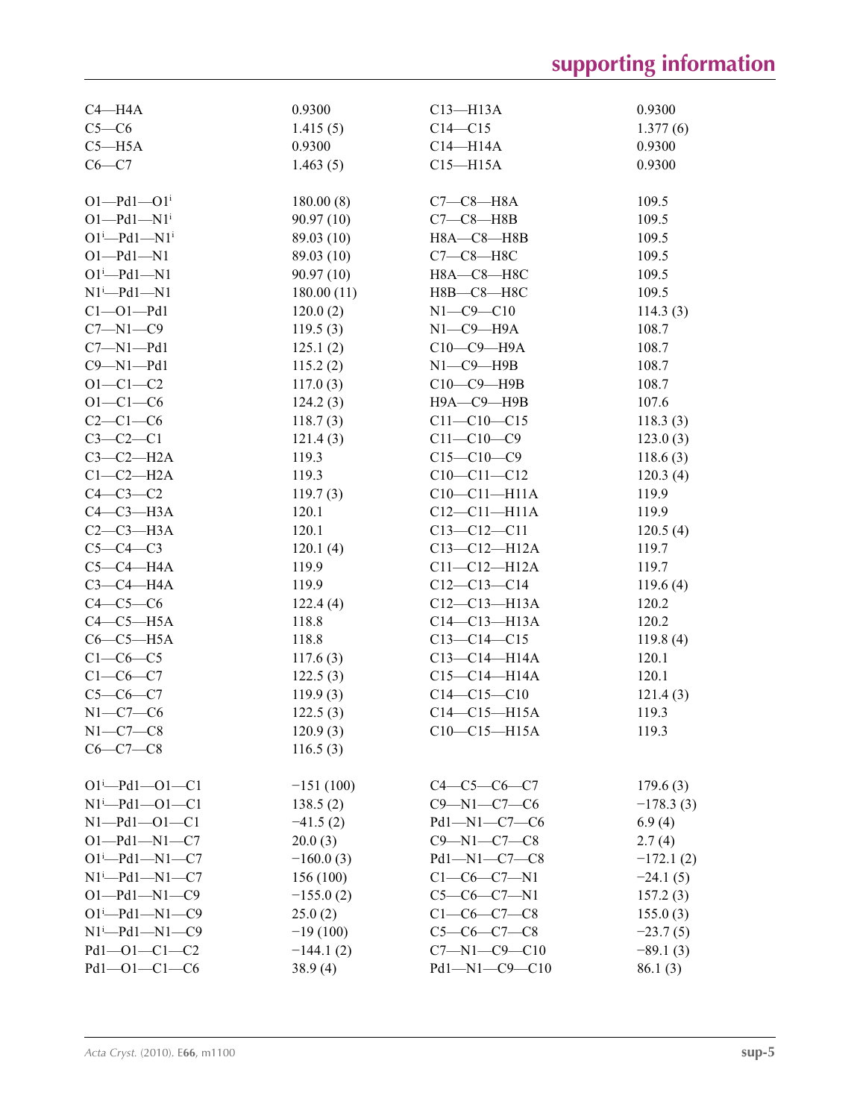| $C4 - H4A$                   | 0.9300      | $C13 - H13A$         | 0.9300      |
|------------------------------|-------------|----------------------|-------------|
| $C5-C6$                      | 1.415(5)    | $C14 - C15$          | 1.377(6)    |
| $C5 - H5A$                   | 0.9300      | $C14 - H14A$         | 0.9300      |
| $C6 - C7$                    | 1.463(5)    | $C15 - H15A$         | 0.9300      |
|                              |             |                      |             |
| $O1 - Pd1 - O1$ <sup>i</sup> | 180.00(8)   | $C7-C8-H8A$          | 109.5       |
| $O1-Pd1-N1$ <sup>i</sup>     | 90.97(10)   | $C7-C8$ -H8B         | 109.5       |
| $O1^i$ -Pd1- $N1^i$          | 89.03 (10)  | H8A-C8-H8B           | 109.5       |
| $O1 - Pd1 - N1$              | 89.03 (10)  | С7—С8—Н8С            | 109.5       |
| $O1^i$ -Pd1-N1               | 90.97(10)   | H8A-C8-H8C           | 109.5       |
| $N1^i$ -Pd1- $N1$            | 180.00(11)  | Н8В-С8-Н8С           | 109.5       |
| $Cl - O1 - Pd1$              | 120.0(2)    | $N1 - C9 - C10$      | 114.3(3)    |
| $C7 - N1 - C9$               | 119.5(3)    | $N1$ — $C9$ — $H9A$  | 108.7       |
| $C7 - N1 - Pd1$              | 125.1(2)    | $C10-C9-H9A$         | 108.7       |
| $C9 - N1 - Pd1$              | 115.2(2)    | $N1$ — $C9$ — $H9B$  | 108.7       |
| $O1 - C1 - C2$               | 117.0(3)    | $C10-C9-H9B$         | 108.7       |
| $O1 - C1 - C6$               | 124.2(3)    | Н9А-С9-Н9В           | 107.6       |
| $C2-C1-C6$                   | 118.7(3)    | $C11 - C10 - C15$    | 118.3(3)    |
| $C3-C2-C1$                   | 121.4(3)    | $C11 - C10 - C9$     | 123.0(3)    |
| $C3-C2-H2A$                  | 119.3       | $C15 - C10 - C9$     | 118.6(3)    |
| $C1-C2-H2A$                  | 119.3       | $C10-C11-C12$        | 120.3(4)    |
| $C4-C3-C2$                   | 119.7(3)    | $C10-C11-H11A$       | 119.9       |
| $C4-C3-H3A$                  | 120.1       | $C12-C11-H11A$       | 119.9       |
| $C2-C3-H3A$                  | 120.1       | $C13 - C12 - C11$    | 120.5(4)    |
| $C5-C4-C3$                   | 120.1(4)    | $C13 - C12 - H12A$   | 119.7       |
| $C5-C4-H4A$                  | 119.9       | $C11 - C12 - H12A$   | 119.7       |
| $C3-C4-H4A$                  | 119.9       | $C12-C13-C14$        | 119.6(4)    |
| $C4-C5-C6$                   | 122.4(4)    | $C12 - C13 - H13A$   | 120.2       |
| $C4-C5-H5A$                  | 118.8       | $C14 - C13 - H13A$   | 120.2       |
| $C6-C5-H5A$                  | 118.8       | $C13-C14-C15$        | 119.8(4)    |
| $C1-C6-C5$                   | 117.6(3)    | $C13 - C14 - H14A$   | 120.1       |
| $C1-C6-C7$                   | 122.5(3)    | $C15 - C14 - H14A$   | 120.1       |
| $C5-C6-C7$                   | 119.9(3)    | $C14-C15-C10$        | 121.4(3)    |
| $N1-C7-C6$                   | 122.5(3)    | $C14-C15-H15A$       | 119.3       |
| $N1-C7-C8$                   | 120.9(3)    | $C10-C15-H15A$       | 119.3       |
| $C6-C7-C8$                   | 116.5(3)    |                      |             |
|                              |             |                      |             |
| $O1^i$ -Pd1- $O1$ -C1        | $-151(100)$ | $C4-C5-C6-C7$        | 179.6(3)    |
| $N1^{i}$ -Pd1--O1--C1        | 138.5(2)    | $C9 - N1 - C7 - C6$  | $-178.3(3)$ |
| $N1 - Pd1 - O1 - C1$         | $-41.5(2)$  | Pd1-N1-C7-C6         | 6.9(4)      |
| $O1 - Pd1 - N1 - C7$         | 20.0(3)     | $C9 - N1 - C7 - C8$  | 2.7(4)      |
| $O1^{i}$ -Pd1-N1-C7          | $-160.0(3)$ | $Pd1 - N1 - C7 - C8$ | $-172.1(2)$ |
| $N1^{i}$ -Pd1- $N1$ -C7      | 156 (100)   | $C1-C6-C7-N1$        | $-24.1(5)$  |
| $O1 - Pd1 - N1 - C9$         | $-155.0(2)$ | $C5-C6-C7-N1$        | 157.2(3)    |
| $O1^{i}$ -Pd1-N1-C9          | 25.0(2)     | $C1-C6-C7-C8$        | 155.0(3)    |
| $N1^i$ -Pd1- $N1$ -C9        | $-19(100)$  | $C5-C6-C7-C8$        | $-23.7(5)$  |
| $Pd1 - O1 - C1 - C2$         | $-144.1(2)$ | $C7 - N1 - C9 - C10$ | $-89.1(3)$  |
| $Pd1 - O1 - C1 - C6$         | 38.9(4)     | Pd1-N1-C9-C10        | 86.1(3)     |
|                              |             |                      |             |